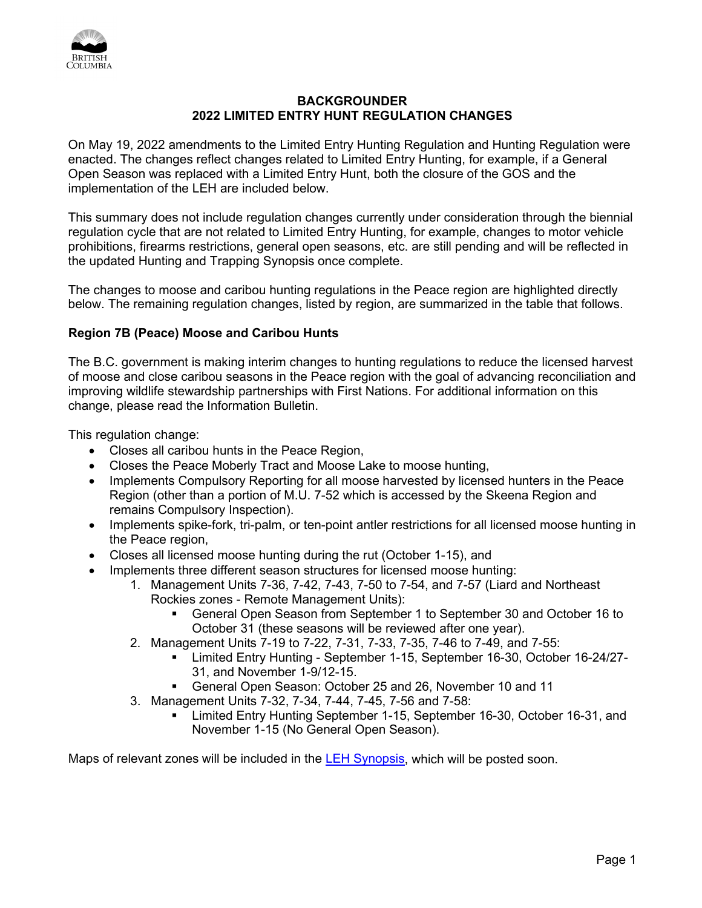

## **BACKGROUNDER 2022 LIMITED ENTRY HUNT REGULATION CHANGES**

On May 19, 2022 amendments to the Limited Entry Hunting Regulation and Hunting Regulation were enacted. The changes reflect changes related to Limited Entry Hunting, for example, if a General Open Season was replaced with a Limited Entry Hunt, both the closure of the GOS and the implementation of the LEH are included below.

This summary does not include regulation changes currently under consideration through the biennial regulation cycle that are not related to Limited Entry Hunting, for example, changes to motor vehicle prohibitions, firearms restrictions, general open seasons, etc. are still pending and will be reflected in the updated Hunting and Trapping Synopsis once complete.

The changes to moose and caribou hunting regulations in the Peace region are highlighted directly below. The remaining regulation changes, listed by region, are summarized in the table that follows.

## **Region 7B (Peace) Moose and Caribou Hunts**

The B.C. government is making interim changes to hunting regulations to reduce the licensed harvest of moose and close caribou seasons in the Peace region with the goal of advancing reconciliation and improving wildlife stewardship partnerships with First Nations. For additional information on this change, please read the Information Bulletin.

This regulation change:

- Closes all caribou hunts in the Peace Region,
- Closes the Peace Moberly Tract and Moose Lake to moose hunting,
- Implements Compulsory Reporting for all moose harvested by licensed hunters in the Peace Region (other than a portion of M.U. 7-52 which is accessed by the Skeena Region and remains Compulsory Inspection).
- Implements spike-fork, tri-palm, or ten-point antler restrictions for all licensed moose hunting in the Peace region,
- Closes all licensed moose hunting during the rut (October 1-15), and
- Implements three different season structures for licensed moose hunting:
	- 1. Management Units 7-36, 7-42, 7-43, 7-50 to 7-54, and 7-57 (Liard and Northeast Rockies zones - Remote Management Units):
		- General Open Season from September 1 to September 30 and October 16 to October 31 (these seasons will be reviewed after one year).
	- 2. Management Units 7-19 to 7-22, 7-31, 7-33, 7-35, 7-46 to 7-49, and 7-55:
		- Limited Entry Hunting September 1-15, September 16-30, October 16-24/27- 31, and November 1-9/12-15.
		- General Open Season: October 25 and 26, November 10 and 11
	- 3. Management Units 7-32, 7-34, 7-44, 7-45, 7-56 and 7-58:
		- Limited Entry Hunting September 1-15, September 16-30, October 16-31, and November 1-15 (No General Open Season).

Maps of relevant zones will be included in the [LEH Synopsis,](https://www2.gov.bc.ca/gov/content?id=3F79BE383F0C490590D32239578D1EA1) which will be posted soon.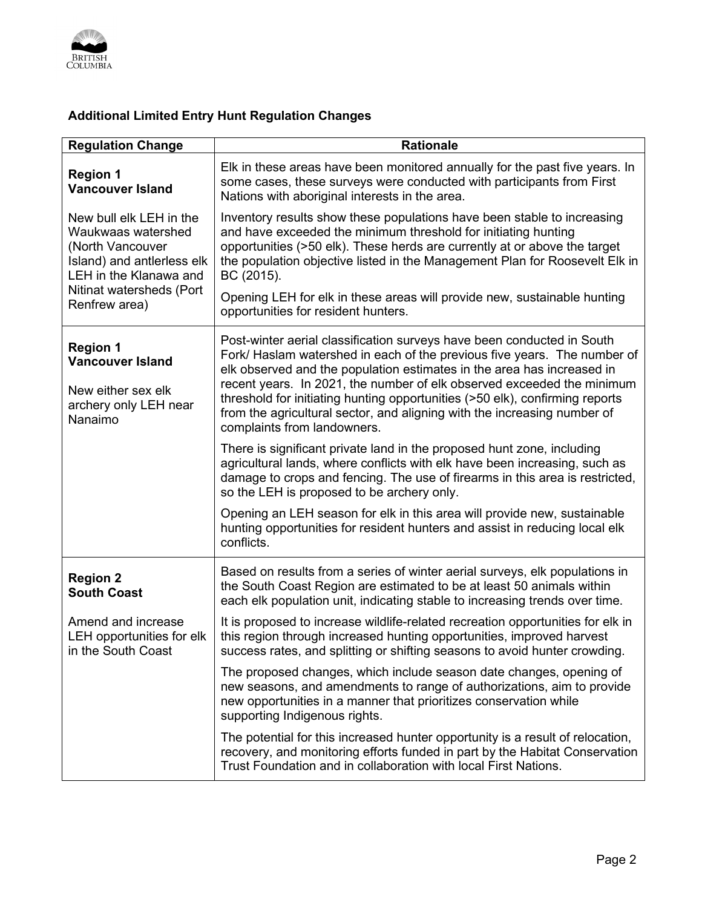

## **Additional Limited Entry Hunt Regulation Changes**

| <b>Regulation Change</b>                                                                                                                                               | <b>Rationale</b>                                                                                                                                                                                                                                                                                                                                                                                                                                                                                  |
|------------------------------------------------------------------------------------------------------------------------------------------------------------------------|---------------------------------------------------------------------------------------------------------------------------------------------------------------------------------------------------------------------------------------------------------------------------------------------------------------------------------------------------------------------------------------------------------------------------------------------------------------------------------------------------|
| <b>Region 1</b><br><b>Vancouver Island</b>                                                                                                                             | Elk in these areas have been monitored annually for the past five years. In<br>some cases, these surveys were conducted with participants from First<br>Nations with aboriginal interests in the area.                                                                                                                                                                                                                                                                                            |
| New bull elk LEH in the<br>Waukwaas watershed<br>(North Vancouver<br>Island) and antierless elk<br>LEH in the Klanawa and<br>Nitinat watersheds (Port<br>Renfrew area) | Inventory results show these populations have been stable to increasing<br>and have exceeded the minimum threshold for initiating hunting<br>opportunities (>50 elk). These herds are currently at or above the target<br>the population objective listed in the Management Plan for Roosevelt Elk in<br>BC (2015).                                                                                                                                                                               |
|                                                                                                                                                                        | Opening LEH for elk in these areas will provide new, sustainable hunting<br>opportunities for resident hunters.                                                                                                                                                                                                                                                                                                                                                                                   |
| <b>Region 1</b><br><b>Vancouver Island</b>                                                                                                                             | Post-winter aerial classification surveys have been conducted in South<br>Fork/ Haslam watershed in each of the previous five years. The number of<br>elk observed and the population estimates in the area has increased in<br>recent years. In 2021, the number of elk observed exceeded the minimum<br>threshold for initiating hunting opportunities (>50 elk), confirming reports<br>from the agricultural sector, and aligning with the increasing number of<br>complaints from landowners. |
| New either sex elk<br>archery only LEH near<br>Nanaimo                                                                                                                 |                                                                                                                                                                                                                                                                                                                                                                                                                                                                                                   |
|                                                                                                                                                                        | There is significant private land in the proposed hunt zone, including<br>agricultural lands, where conflicts with elk have been increasing, such as<br>damage to crops and fencing. The use of firearms in this area is restricted,<br>so the LEH is proposed to be archery only.                                                                                                                                                                                                                |
|                                                                                                                                                                        | Opening an LEH season for elk in this area will provide new, sustainable<br>hunting opportunities for resident hunters and assist in reducing local elk<br>conflicts.                                                                                                                                                                                                                                                                                                                             |
| <b>Region 2</b><br><b>South Coast</b>                                                                                                                                  | Based on results from a series of winter aerial surveys, elk populations in<br>the South Coast Region are estimated to be at least 50 animals within<br>each elk population unit, indicating stable to increasing trends over time.                                                                                                                                                                                                                                                               |
| Amend and increase<br>LEH opportunities for elk<br>in the South Coast                                                                                                  | It is proposed to increase wildlife-related recreation opportunities for elk in<br>this region through increased hunting opportunities, improved harvest<br>success rates, and splitting or shifting seasons to avoid hunter crowding.                                                                                                                                                                                                                                                            |
|                                                                                                                                                                        | The proposed changes, which include season date changes, opening of<br>new seasons, and amendments to range of authorizations, aim to provide<br>new opportunities in a manner that prioritizes conservation while<br>supporting Indigenous rights.                                                                                                                                                                                                                                               |
|                                                                                                                                                                        | The potential for this increased hunter opportunity is a result of relocation,<br>recovery, and monitoring efforts funded in part by the Habitat Conservation<br>Trust Foundation and in collaboration with local First Nations.                                                                                                                                                                                                                                                                  |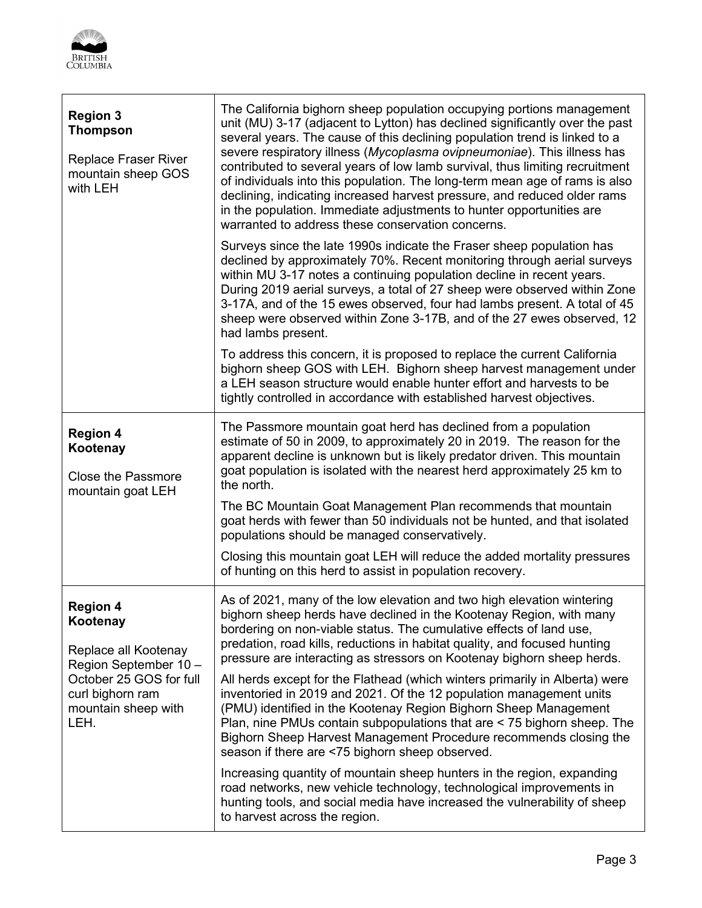

| <b>Region 3</b><br><b>Thompson</b><br><b>Replace Fraser River</b><br>mountain sheep GOS<br>with LEH                                                       | The California bighorn sheep population occupying portions management<br>unit (MU) 3-17 (adjacent to Lytton) has declined significantly over the past<br>several years. The cause of this declining population trend is linked to a<br>severe respiratory illness (Mycoplasma ovipneumoniae). This illness has<br>contributed to several years of low lamb survival, thus limiting recruitment<br>of individuals into this population. The long-term mean age of rams is also<br>declining, indicating increased harvest pressure, and reduced older rams<br>in the population. Immediate adjustments to hunter opportunities are<br>warranted to address these conservation concerns. |
|-----------------------------------------------------------------------------------------------------------------------------------------------------------|----------------------------------------------------------------------------------------------------------------------------------------------------------------------------------------------------------------------------------------------------------------------------------------------------------------------------------------------------------------------------------------------------------------------------------------------------------------------------------------------------------------------------------------------------------------------------------------------------------------------------------------------------------------------------------------|
|                                                                                                                                                           | Surveys since the late 1990s indicate the Fraser sheep population has<br>declined by approximately 70%. Recent monitoring through aerial surveys<br>within MU 3-17 notes a continuing population decline in recent years.<br>During 2019 aerial surveys, a total of 27 sheep were observed within Zone<br>3-17A, and of the 15 ewes observed, four had lambs present. A total of 45<br>sheep were observed within Zone 3-17B, and of the 27 ewes observed, 12<br>had lambs present.                                                                                                                                                                                                    |
|                                                                                                                                                           | To address this concern, it is proposed to replace the current California<br>bighorn sheep GOS with LEH. Bighorn sheep harvest management under<br>a LEH season structure would enable hunter effort and harvests to be<br>tightly controlled in accordance with established harvest objectives.                                                                                                                                                                                                                                                                                                                                                                                       |
| <b>Region 4</b><br>Kootenay<br><b>Close the Passmore</b><br>mountain goat LEH                                                                             | The Passmore mountain goat herd has declined from a population<br>estimate of 50 in 2009, to approximately 20 in 2019. The reason for the<br>apparent decline is unknown but is likely predator driven. This mountain<br>goat population is isolated with the nearest herd approximately 25 km to<br>the north.                                                                                                                                                                                                                                                                                                                                                                        |
|                                                                                                                                                           | The BC Mountain Goat Management Plan recommends that mountain<br>goat herds with fewer than 50 individuals not be hunted, and that isolated<br>populations should be managed conservatively.                                                                                                                                                                                                                                                                                                                                                                                                                                                                                           |
|                                                                                                                                                           | Closing this mountain goat LEH will reduce the added mortality pressures<br>of hunting on this herd to assist in population recovery.                                                                                                                                                                                                                                                                                                                                                                                                                                                                                                                                                  |
| <b>Region 4</b><br>Kootenay<br>Replace all Kootenay<br>Region September 10-<br>October 25 GOS for full<br>curl bighorn ram<br>mountain sheep with<br>LEH. | As of 2021, many of the low elevation and two high elevation wintering<br>bighorn sheep herds have declined in the Kootenay Region, with many<br>bordering on non-viable status. The cumulative effects of land use,<br>predation, road kills, reductions in habitat quality, and focused hunting<br>pressure are interacting as stressors on Kootenay bighorn sheep herds.                                                                                                                                                                                                                                                                                                            |
|                                                                                                                                                           | All herds except for the Flathead (which winters primarily in Alberta) were<br>inventoried in 2019 and 2021. Of the 12 population management units<br>(PMU) identified in the Kootenay Region Bighorn Sheep Management<br>Plan, nine PMUs contain subpopulations that are < 75 bighorn sheep. The<br>Bighorn Sheep Harvest Management Procedure recommends closing the<br>season if there are <75 bighorn sheep observed.                                                                                                                                                                                                                                                              |
|                                                                                                                                                           | Increasing quantity of mountain sheep hunters in the region, expanding<br>road networks, new vehicle technology, technological improvements in<br>hunting tools, and social media have increased the vulnerability of sheep<br>to harvest across the region.                                                                                                                                                                                                                                                                                                                                                                                                                           |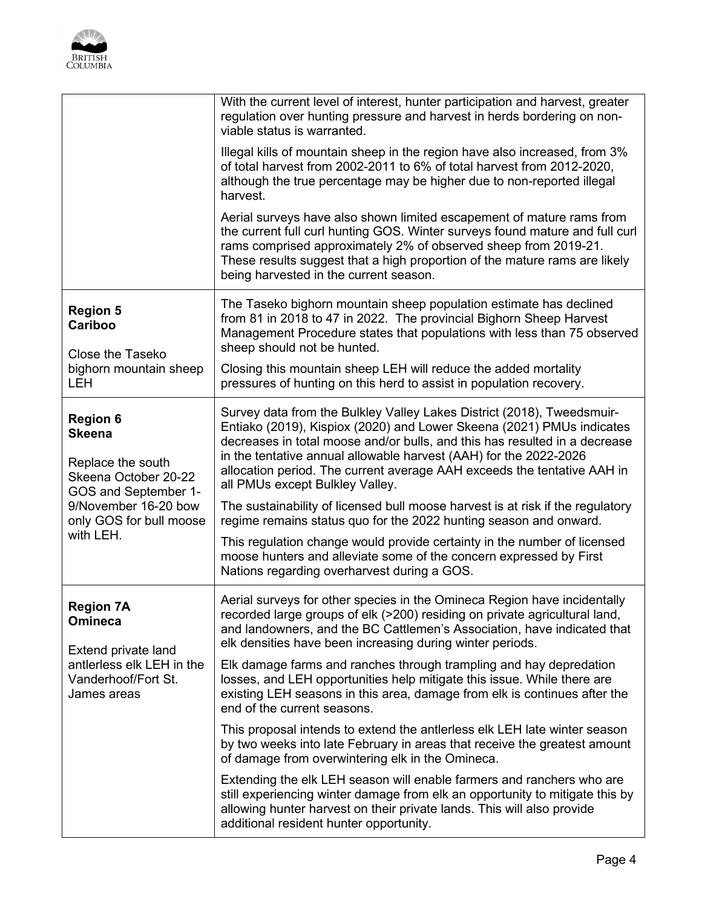

|                                                                                                                                                                       | With the current level of interest, hunter participation and harvest, greater<br>regulation over hunting pressure and harvest in herds bordering on non-<br>viable status is warranted.                                                                                                                                                                                                                          |
|-----------------------------------------------------------------------------------------------------------------------------------------------------------------------|------------------------------------------------------------------------------------------------------------------------------------------------------------------------------------------------------------------------------------------------------------------------------------------------------------------------------------------------------------------------------------------------------------------|
|                                                                                                                                                                       | Illegal kills of mountain sheep in the region have also increased, from 3%<br>of total harvest from 2002-2011 to 6% of total harvest from 2012-2020,<br>although the true percentage may be higher due to non-reported illegal<br>harvest.                                                                                                                                                                       |
|                                                                                                                                                                       | Aerial surveys have also shown limited escapement of mature rams from<br>the current full curl hunting GOS. Winter surveys found mature and full curl<br>rams comprised approximately 2% of observed sheep from 2019-21.<br>These results suggest that a high proportion of the mature rams are likely<br>being harvested in the current season.                                                                 |
| <b>Region 5</b><br>Cariboo<br>Close the Taseko<br>bighorn mountain sheep<br><b>LEH</b>                                                                                | The Taseko bighorn mountain sheep population estimate has declined<br>from 81 in 2018 to 47 in 2022. The provincial Bighorn Sheep Harvest<br>Management Procedure states that populations with less than 75 observed<br>sheep should not be hunted.                                                                                                                                                              |
|                                                                                                                                                                       | Closing this mountain sheep LEH will reduce the added mortality<br>pressures of hunting on this herd to assist in population recovery.                                                                                                                                                                                                                                                                           |
| <b>Region 6</b><br><b>Skeena</b><br>Replace the south<br>Skeena October 20-22<br>GOS and September 1-<br>9/November 16-20 bow<br>only GOS for bull moose<br>with LEH. | Survey data from the Bulkley Valley Lakes District (2018), Tweedsmuir-<br>Entiako (2019), Kispiox (2020) and Lower Skeena (2021) PMUs indicates<br>decreases in total moose and/or bulls, and this has resulted in a decrease<br>in the tentative annual allowable harvest (AAH) for the 2022-2026<br>allocation period. The current average AAH exceeds the tentative AAH in<br>all PMUs except Bulkley Valley. |
|                                                                                                                                                                       | The sustainability of licensed bull moose harvest is at risk if the regulatory<br>regime remains status quo for the 2022 hunting season and onward.                                                                                                                                                                                                                                                              |
|                                                                                                                                                                       | This regulation change would provide certainty in the number of licensed<br>moose hunters and alleviate some of the concern expressed by First<br>Nations regarding overharvest during a GOS.                                                                                                                                                                                                                    |
| <b>Region 7A</b><br>Omineca<br>Extend private land<br>antlerless elk LEH in the<br>Vanderhoof/Fort St.<br>James areas                                                 | Aerial surveys for other species in the Omineca Region have incidentally<br>recorded large groups of elk (>200) residing on private agricultural land,<br>and landowners, and the BC Cattlemen's Association, have indicated that<br>elk densities have been increasing during winter periods.                                                                                                                   |
|                                                                                                                                                                       | Elk damage farms and ranches through trampling and hay depredation<br>losses, and LEH opportunities help mitigate this issue. While there are<br>existing LEH seasons in this area, damage from elk is continues after the<br>end of the current seasons.                                                                                                                                                        |
|                                                                                                                                                                       | This proposal intends to extend the antierless elk LEH late winter season<br>by two weeks into late February in areas that receive the greatest amount<br>of damage from overwintering elk in the Omineca.                                                                                                                                                                                                       |
|                                                                                                                                                                       | Extending the elk LEH season will enable farmers and ranchers who are<br>still experiencing winter damage from elk an opportunity to mitigate this by<br>allowing hunter harvest on their private lands. This will also provide<br>additional resident hunter opportunity.                                                                                                                                       |